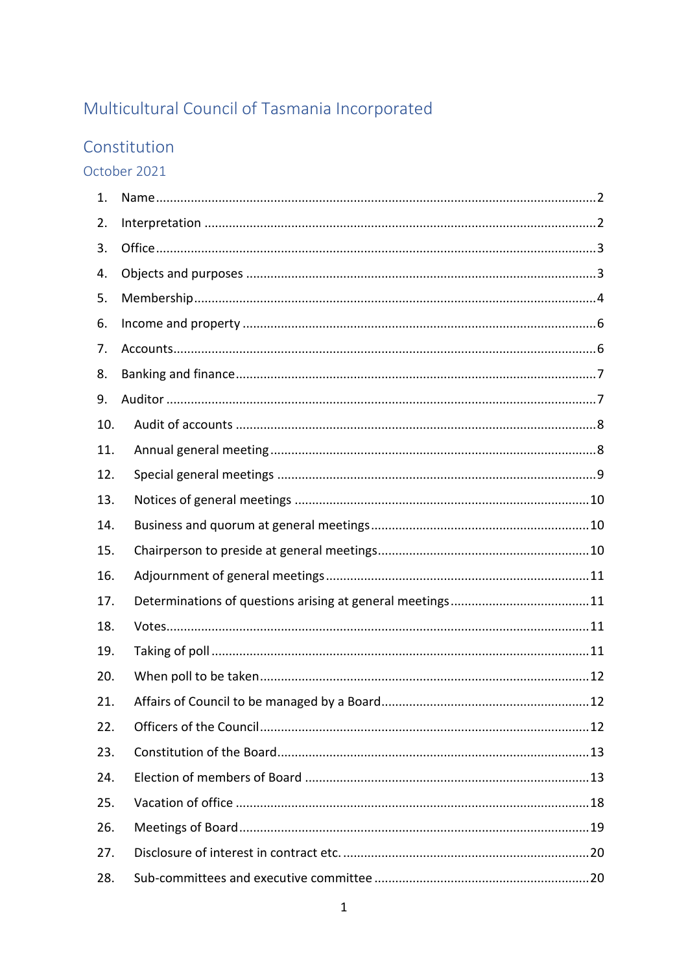# Multicultural Council of Tasmania Incorporated

## Constitution

October 2021

| 1.  |    |
|-----|----|
| 2.  |    |
| 3.  |    |
| 4.  |    |
| 5.  |    |
| 6.  |    |
| 7.  |    |
| 8.  |    |
| 9.  |    |
| 10. |    |
| 11. |    |
| 12. |    |
| 13. |    |
| 14. |    |
| 15. |    |
| 16. |    |
| 17. |    |
| 18. |    |
| 19. |    |
| 20. |    |
| 21. | 12 |
| 22. |    |
| 23. |    |
| 24. |    |
| 25. |    |
| 26. |    |
| 27. |    |
| 28. |    |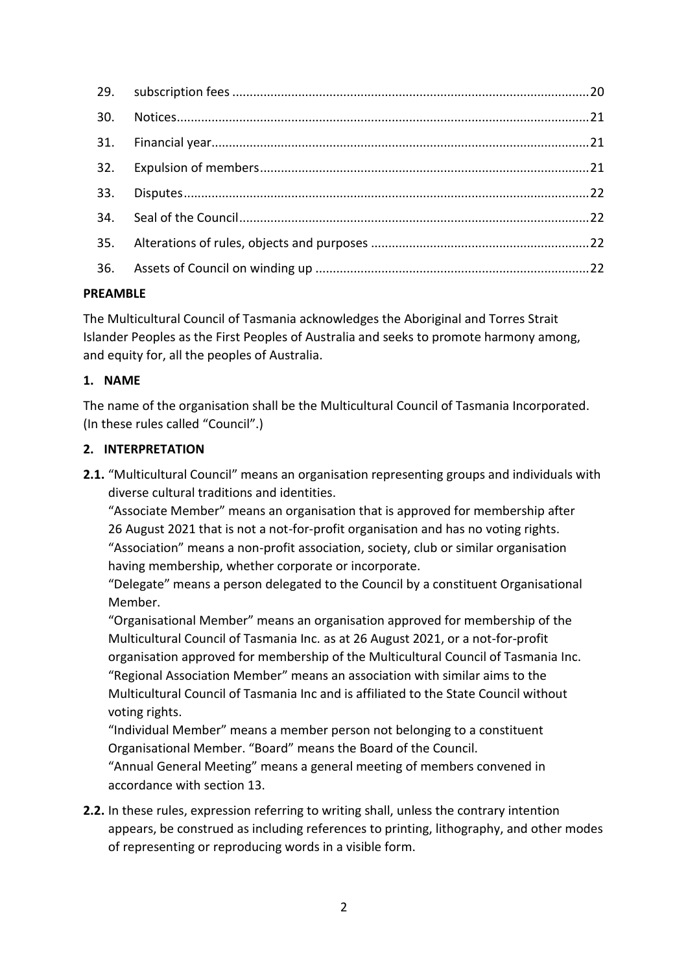## **PREAMBLE**

The Multicultural Council of Tasmania acknowledges the Aboriginal and Torres Strait Islander Peoples as the First Peoples of Australia and seeks to promote harmony among, and equity for, all the peoples of Australia.

## <span id="page-1-0"></span>**1. NAME**

The name of the organisation shall be the Multicultural Council of Tasmania Incorporated. (In these rules called "Council".)

## <span id="page-1-1"></span>**2. INTERPRETATION**

**2.1.** "Multicultural Council" means an organisation representing groups and individuals with diverse cultural traditions and identities.

"Associate Member" means an organisation that is approved for membership after 26 August 2021 that is not a not-for-profit organisation and has no voting rights. "Association" means a non-profit association, society, club or similar organisation having membership, whether corporate or incorporate.

"Delegate" means a person delegated to the Council by a constituent Organisational Member.

"Organisational Member" means an organisation approved for membership of the Multicultural Council of Tasmania Inc. as at 26 August 2021, or a not-for-profit organisation approved for membership of the Multicultural Council of Tasmania Inc. "Regional Association Member" means an association with similar aims to the Multicultural Council of Tasmania Inc and is affiliated to the State Council without voting rights.

"Individual Member" means a member person not belonging to a constituent Organisational Member. "Board" means the Board of the Council.

"Annual General Meeting" means a general meeting of members convened in accordance with section 13.

**2.2.** In these rules, expression referring to writing shall, unless the contrary intention appears, be construed as including references to printing, lithography, and other modes of representing or reproducing words in a visible form.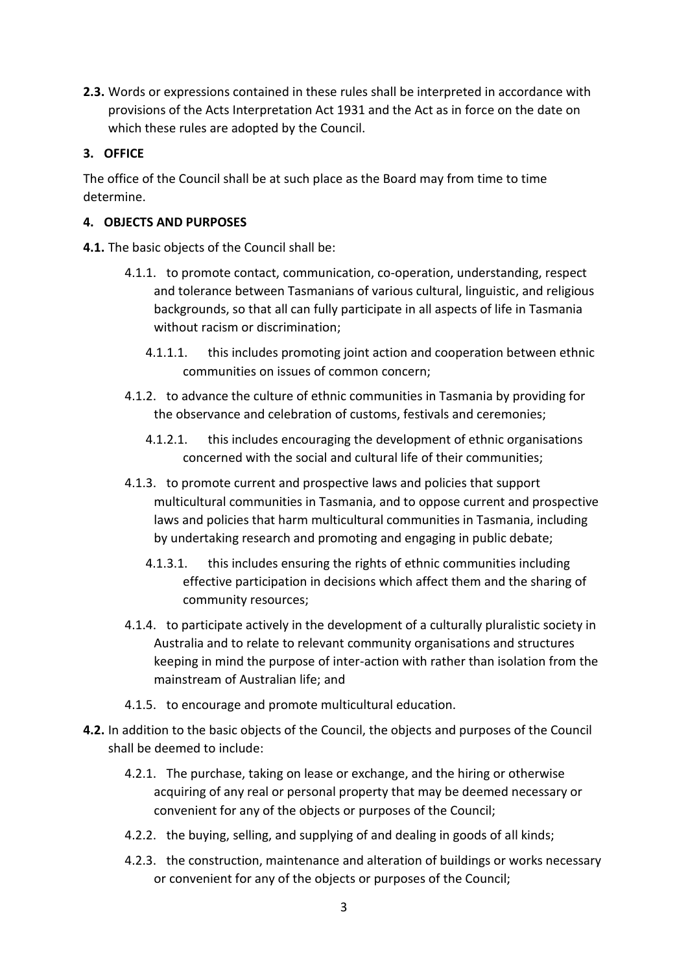**2.3.** Words or expressions contained in these rules shall be interpreted in accordance with provisions of the Acts Interpretation Act 1931 and the Act as in force on the date on which these rules are adopted by the Council.

## <span id="page-2-0"></span>**3. OFFICE**

The office of the Council shall be at such place as the Board may from time to time determine.

## <span id="page-2-1"></span>**4. OBJECTS AND PURPOSES**

**4.1.** The basic objects of the Council shall be:

- 4.1.1. to promote contact, communication, co-operation, understanding, respect and tolerance between Tasmanians of various cultural, linguistic, and religious backgrounds, so that all can fully participate in all aspects of life in Tasmania without racism or discrimination;
	- 4.1.1.1. this includes promoting joint action and cooperation between ethnic communities on issues of common concern;
- 4.1.2. to advance the culture of ethnic communities in Tasmania by providing for the observance and celebration of customs, festivals and ceremonies;
	- 4.1.2.1. this includes encouraging the development of ethnic organisations concerned with the social and cultural life of their communities;
- 4.1.3. to promote current and prospective laws and policies that support multicultural communities in Tasmania, and to oppose current and prospective laws and policies that harm multicultural communities in Tasmania, including by undertaking research and promoting and engaging in public debate;
	- 4.1.3.1. this includes ensuring the rights of ethnic communities including effective participation in decisions which affect them and the sharing of community resources;
- 4.1.4. to participate actively in the development of a culturally pluralistic society in Australia and to relate to relevant community organisations and structures keeping in mind the purpose of inter-action with rather than isolation from the mainstream of Australian life; and
- 4.1.5. to encourage and promote multicultural education.
- **4.2.** In addition to the basic objects of the Council, the objects and purposes of the Council shall be deemed to include:
	- 4.2.1. The purchase, taking on lease or exchange, and the hiring or otherwise acquiring of any real or personal property that may be deemed necessary or convenient for any of the objects or purposes of the Council;
	- 4.2.2. the buying, selling, and supplying of and dealing in goods of all kinds;
	- 4.2.3. the construction, maintenance and alteration of buildings or works necessary or convenient for any of the objects or purposes of the Council;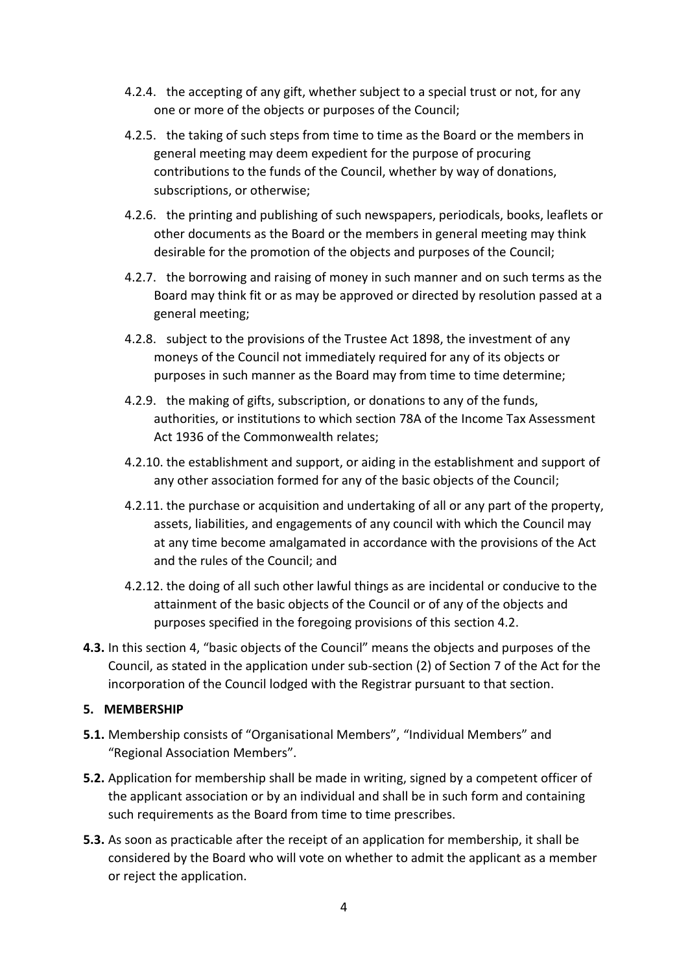- 4.2.4. the accepting of any gift, whether subject to a special trust or not, for any one or more of the objects or purposes of the Council;
- 4.2.5. the taking of such steps from time to time as the Board or the members in general meeting may deem expedient for the purpose of procuring contributions to the funds of the Council, whether by way of donations, subscriptions, or otherwise;
- 4.2.6. the printing and publishing of such newspapers, periodicals, books, leaflets or other documents as the Board or the members in general meeting may think desirable for the promotion of the objects and purposes of the Council;
- 4.2.7. the borrowing and raising of money in such manner and on such terms as the Board may think fit or as may be approved or directed by resolution passed at a general meeting;
- 4.2.8. subject to the provisions of the Trustee Act 1898, the investment of any moneys of the Council not immediately required for any of its objects or purposes in such manner as the Board may from time to time determine;
- 4.2.9. the making of gifts, subscription, or donations to any of the funds, authorities, or institutions to which section 78A of the Income Tax Assessment Act 1936 of the Commonwealth relates;
- 4.2.10. the establishment and support, or aiding in the establishment and support of any other association formed for any of the basic objects of the Council;
- 4.2.11. the purchase or acquisition and undertaking of all or any part of the property, assets, liabilities, and engagements of any council with which the Council may at any time become amalgamated in accordance with the provisions of the Act and the rules of the Council; and
- 4.2.12. the doing of all such other lawful things as are incidental or conducive to the attainment of the basic objects of the Council or of any of the objects and purposes specified in the foregoing provisions of this section 4.2.
- **4.3.** In this section 4, "basic objects of the Council" means the objects and purposes of the Council, as stated in the application under sub-section (2) of Section 7 of the Act for the incorporation of the Council lodged with the Registrar pursuant to that section.

#### <span id="page-3-0"></span>**5. MEMBERSHIP**

- **5.1.** Membership consists of "Organisational Members", "Individual Members" and "Regional Association Members".
- **5.2.** Application for membership shall be made in writing, signed by a competent officer of the applicant association or by an individual and shall be in such form and containing such requirements as the Board from time to time prescribes.
- **5.3.** As soon as practicable after the receipt of an application for membership, it shall be considered by the Board who will vote on whether to admit the applicant as a member or reject the application.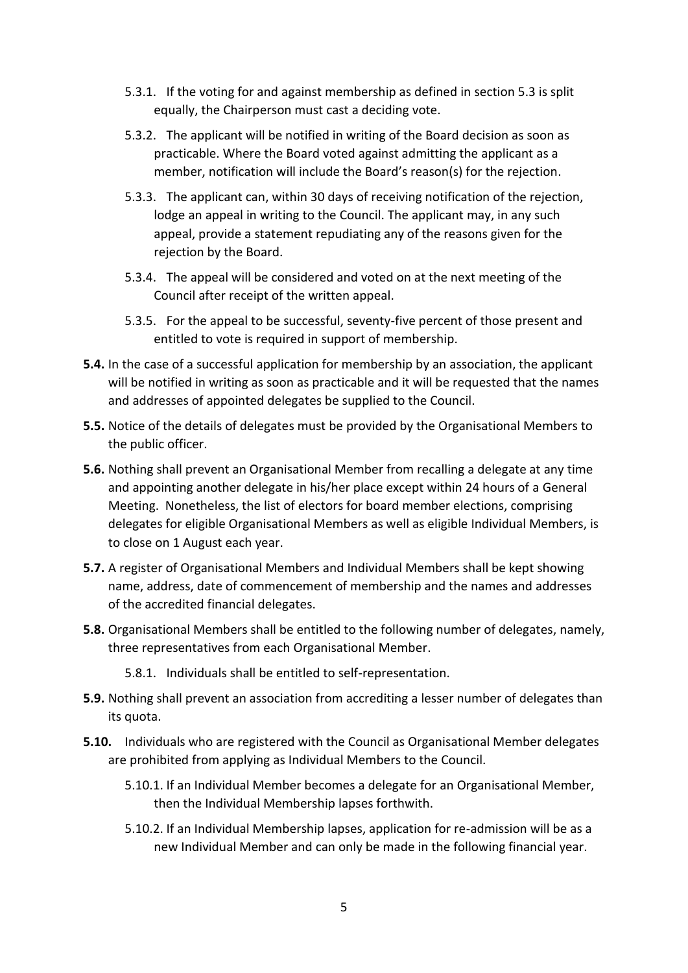- 5.3.1. If the voting for and against membership as defined in section 5.3 is split equally, the Chairperson must cast a deciding vote.
- 5.3.2. The applicant will be notified in writing of the Board decision as soon as practicable. Where the Board voted against admitting the applicant as a member, notification will include the Board's reason(s) for the rejection.
- 5.3.3. The applicant can, within 30 days of receiving notification of the rejection, lodge an appeal in writing to the Council. The applicant may, in any such appeal, provide a statement repudiating any of the reasons given for the rejection by the Board.
- 5.3.4. The appeal will be considered and voted on at the next meeting of the Council after receipt of the written appeal.
- 5.3.5. For the appeal to be successful, seventy-five percent of those present and entitled to vote is required in support of membership.
- **5.4.** In the case of a successful application for membership by an association, the applicant will be notified in writing as soon as practicable and it will be requested that the names and addresses of appointed delegates be supplied to the Council.
- **5.5.** Notice of the details of delegates must be provided by the Organisational Members to the public officer.
- **5.6.** Nothing shall prevent an Organisational Member from recalling a delegate at any time and appointing another delegate in his/her place except within 24 hours of a General Meeting. Nonetheless, the list of electors for board member elections, comprising delegates for eligible Organisational Members as well as eligible Individual Members, is to close on 1 August each year.
- **5.7.** A register of Organisational Members and Individual Members shall be kept showing name, address, date of commencement of membership and the names and addresses of the accredited financial delegates.
- **5.8.** Organisational Members shall be entitled to the following number of delegates, namely, three representatives from each Organisational Member.
	- 5.8.1. Individuals shall be entitled to self-representation.
- **5.9.** Nothing shall prevent an association from accrediting a lesser number of delegates than its quota.
- **5.10.** Individuals who are registered with the Council as Organisational Member delegates are prohibited from applying as Individual Members to the Council.
	- 5.10.1. If an Individual Member becomes a delegate for an Organisational Member, then the Individual Membership lapses forthwith.
	- 5.10.2. If an Individual Membership lapses, application for re-admission will be as a new Individual Member and can only be made in the following financial year.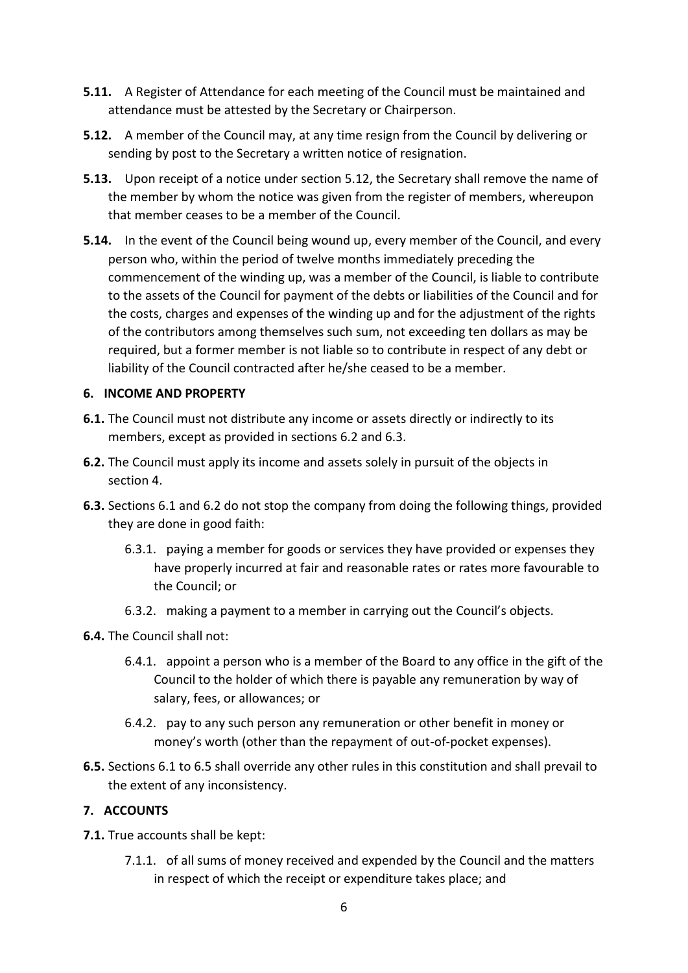- **5.11.** A Register of Attendance for each meeting of the Council must be maintained and attendance must be attested by the Secretary or Chairperson.
- **5.12.** A member of the Council may, at any time resign from the Council by delivering or sending by post to the Secretary a written notice of resignation.
- **5.13.** Upon receipt of a notice under section 5.12, the Secretary shall remove the name of the member by whom the notice was given from the register of members, whereupon that member ceases to be a member of the Council.
- **5.14.** In the event of the Council being wound up, every member of the Council, and every person who, within the period of twelve months immediately preceding the commencement of the winding up, was a member of the Council, is liable to contribute to the assets of the Council for payment of the debts or liabilities of the Council and for the costs, charges and expenses of the winding up and for the adjustment of the rights of the contributors among themselves such sum, not exceeding ten dollars as may be required, but a former member is not liable so to contribute in respect of any debt or liability of the Council contracted after he/she ceased to be a member.

## <span id="page-5-0"></span>**6. INCOME AND PROPERTY**

- **6.1.** The Council must not distribute any income or assets directly or indirectly to its members, except as provided in sections 6.2 and 6.3.
- **6.2.** The Council must apply its income and assets solely in pursuit of the objects in section 4.
- **6.3.** Sections 6.1 and 6.2 do not stop the company from doing the following things, provided they are done in good faith:
	- 6.3.1. paying a member for goods or services they have provided or expenses they have properly incurred at fair and reasonable rates or rates more favourable to the Council; or
	- 6.3.2. making a payment to a member in carrying out the Council's objects.
- **6.4.** The Council shall not:
	- 6.4.1. appoint a person who is a member of the Board to any office in the gift of the Council to the holder of which there is payable any remuneration by way of salary, fees, or allowances; or
	- 6.4.2. pay to any such person any remuneration or other benefit in money or money's worth (other than the repayment of out-of-pocket expenses).
- **6.5.** Sections 6.1 to 6.5 shall override any other rules in this constitution and shall prevail to the extent of any inconsistency.

## <span id="page-5-1"></span>**7. ACCOUNTS**

- **7.1.** True accounts shall be kept:
	- 7.1.1. of all sums of money received and expended by the Council and the matters in respect of which the receipt or expenditure takes place; and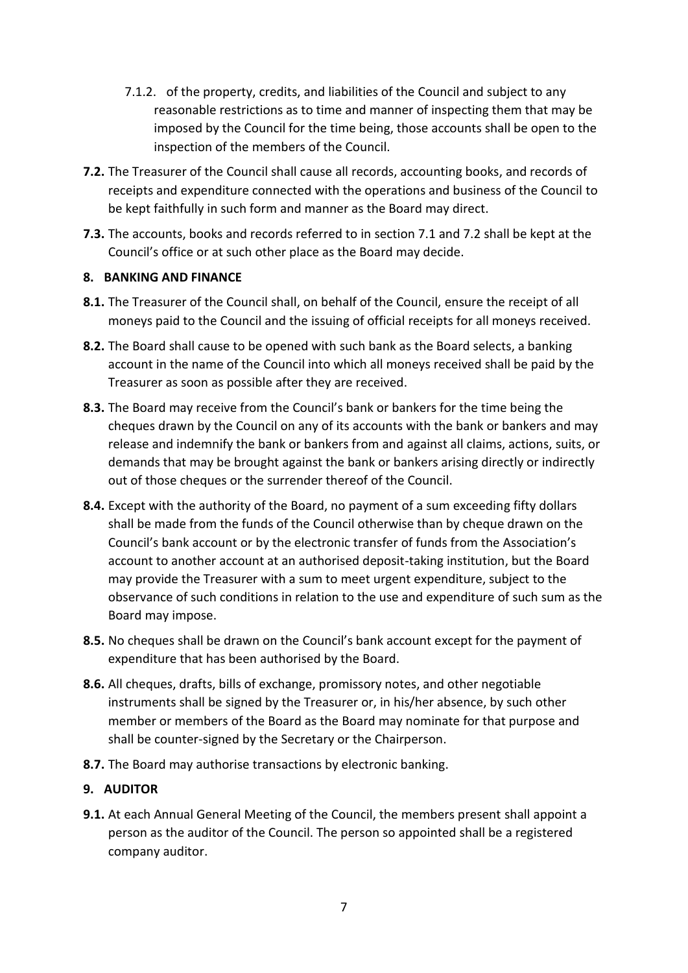- 7.1.2. of the property, credits, and liabilities of the Council and subject to any reasonable restrictions as to time and manner of inspecting them that may be imposed by the Council for the time being, those accounts shall be open to the inspection of the members of the Council.
- **7.2.** The Treasurer of the Council shall cause all records, accounting books, and records of receipts and expenditure connected with the operations and business of the Council to be kept faithfully in such form and manner as the Board may direct.
- **7.3.** The accounts, books and records referred to in section 7.1 and 7.2 shall be kept at the Council's office or at such other place as the Board may decide.

## <span id="page-6-0"></span>**8. BANKING AND FINANCE**

- **8.1.** The Treasurer of the Council shall, on behalf of the Council, ensure the receipt of all moneys paid to the Council and the issuing of official receipts for all moneys received.
- **8.2.** The Board shall cause to be opened with such bank as the Board selects, a banking account in the name of the Council into which all moneys received shall be paid by the Treasurer as soon as possible after they are received.
- **8.3.** The Board may receive from the Council's bank or bankers for the time being the cheques drawn by the Council on any of its accounts with the bank or bankers and may release and indemnify the bank or bankers from and against all claims, actions, suits, or demands that may be brought against the bank or bankers arising directly or indirectly out of those cheques or the surrender thereof of the Council.
- **8.4.** Except with the authority of the Board, no payment of a sum exceeding fifty dollars shall be made from the funds of the Council otherwise than by cheque drawn on the Council's bank account or by the electronic transfer of funds from the Association's account to another account at an authorised deposit-taking institution, but the Board may provide the Treasurer with a sum to meet urgent expenditure, subject to the observance of such conditions in relation to the use and expenditure of such sum as the Board may impose.
- **8.5.** No cheques shall be drawn on the Council's bank account except for the payment of expenditure that has been authorised by the Board.
- **8.6.** All cheques, drafts, bills of exchange, promissory notes, and other negotiable instruments shall be signed by the Treasurer or, in his/her absence, by such other member or members of the Board as the Board may nominate for that purpose and shall be counter-signed by the Secretary or the Chairperson.
- **8.7.** The Board may authorise transactions by electronic banking.

## <span id="page-6-1"></span>**9. AUDITOR**

**9.1.** At each Annual General Meeting of the Council, the members present shall appoint a person as the auditor of the Council. The person so appointed shall be a registered company auditor.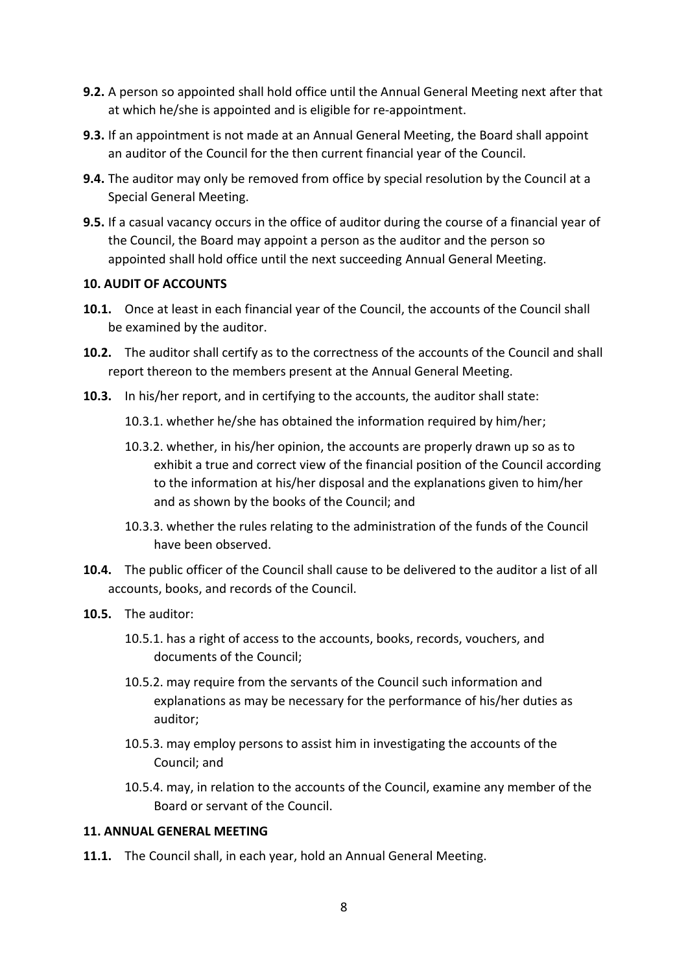- **9.2.** A person so appointed shall hold office until the Annual General Meeting next after that at which he/she is appointed and is eligible for re-appointment.
- **9.3.** If an appointment is not made at an Annual General Meeting, the Board shall appoint an auditor of the Council for the then current financial year of the Council.
- **9.4.** The auditor may only be removed from office by special resolution by the Council at a Special General Meeting.
- **9.5.** If a casual vacancy occurs in the office of auditor during the course of a financial year of the Council, the Board may appoint a person as the auditor and the person so appointed shall hold office until the next succeeding Annual General Meeting.

#### <span id="page-7-0"></span>**10. AUDIT OF ACCOUNTS**

- **10.1.** Once at least in each financial year of the Council, the accounts of the Council shall be examined by the auditor.
- **10.2.** The auditor shall certify as to the correctness of the accounts of the Council and shall report thereon to the members present at the Annual General Meeting.
- **10.3.** In his/her report, and in certifying to the accounts, the auditor shall state:
	- 10.3.1. whether he/she has obtained the information required by him/her;
	- 10.3.2. whether, in his/her opinion, the accounts are properly drawn up so as to exhibit a true and correct view of the financial position of the Council according to the information at his/her disposal and the explanations given to him/her and as shown by the books of the Council; and
	- 10.3.3. whether the rules relating to the administration of the funds of the Council have been observed.
- **10.4.** The public officer of the Council shall cause to be delivered to the auditor a list of all accounts, books, and records of the Council.
- **10.5.** The auditor:
	- 10.5.1. has a right of access to the accounts, books, records, vouchers, and documents of the Council;
	- 10.5.2. may require from the servants of the Council such information and explanations as may be necessary for the performance of his/her duties as auditor;
	- 10.5.3. may employ persons to assist him in investigating the accounts of the Council; and
	- 10.5.4. may, in relation to the accounts of the Council, examine any member of the Board or servant of the Council.

#### <span id="page-7-1"></span>**11. ANNUAL GENERAL MEETING**

**11.1.** The Council shall, in each year, hold an Annual General Meeting.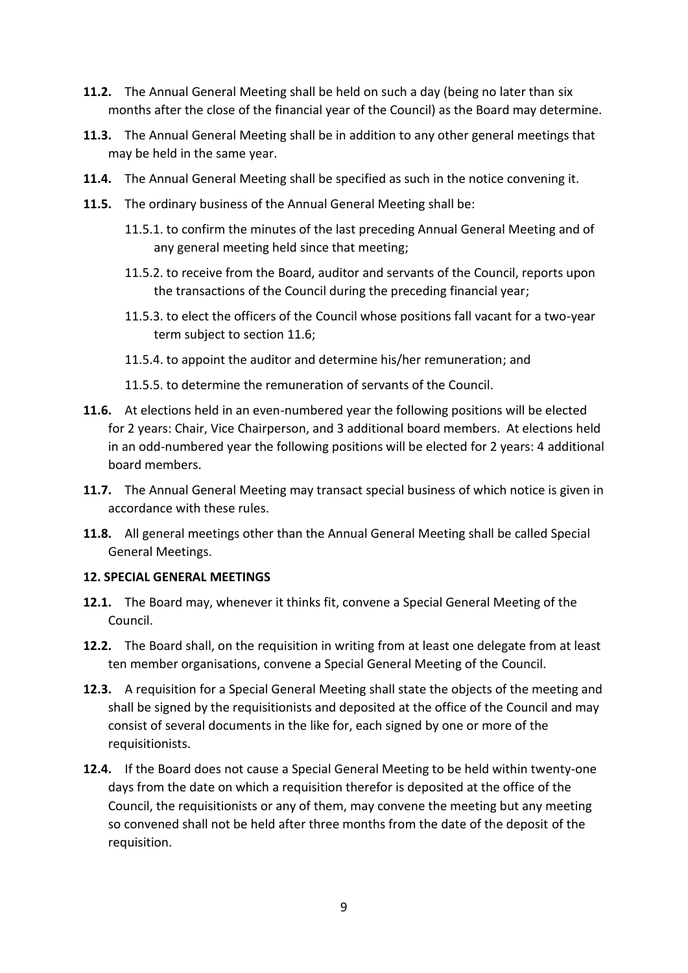- **11.2.** The Annual General Meeting shall be held on such a day (being no later than six months after the close of the financial year of the Council) as the Board may determine.
- **11.3.** The Annual General Meeting shall be in addition to any other general meetings that may be held in the same year.
- **11.4.** The Annual General Meeting shall be specified as such in the notice convening it.
- **11.5.** The ordinary business of the Annual General Meeting shall be:
	- 11.5.1. to confirm the minutes of the last preceding Annual General Meeting and of any general meeting held since that meeting;
	- 11.5.2. to receive from the Board, auditor and servants of the Council, reports upon the transactions of the Council during the preceding financial year;
	- 11.5.3. to elect the officers of the Council whose positions fall vacant for a two-year term subject to section 11.6;
	- 11.5.4. to appoint the auditor and determine his/her remuneration; and
	- 11.5.5. to determine the remuneration of servants of the Council.
- **11.6.** At elections held in an even-numbered year the following positions will be elected for 2 years: Chair, Vice Chairperson, and 3 additional board members. At elections held in an odd-numbered year the following positions will be elected for 2 years: 4 additional board members.
- **11.7.** The Annual General Meeting may transact special business of which notice is given in accordance with these rules.
- **11.8.** All general meetings other than the Annual General Meeting shall be called Special General Meetings.

#### <span id="page-8-0"></span>**12. SPECIAL GENERAL MEETINGS**

- **12.1.** The Board may, whenever it thinks fit, convene a Special General Meeting of the Council.
- **12.2.** The Board shall, on the requisition in writing from at least one delegate from at least ten member organisations, convene a Special General Meeting of the Council.
- **12.3.** A requisition for a Special General Meeting shall state the objects of the meeting and shall be signed by the requisitionists and deposited at the office of the Council and may consist of several documents in the like for, each signed by one or more of the requisitionists.
- **12.4.** If the Board does not cause a Special General Meeting to be held within twenty-one days from the date on which a requisition therefor is deposited at the office of the Council, the requisitionists or any of them, may convene the meeting but any meeting so convened shall not be held after three months from the date of the deposit of the requisition.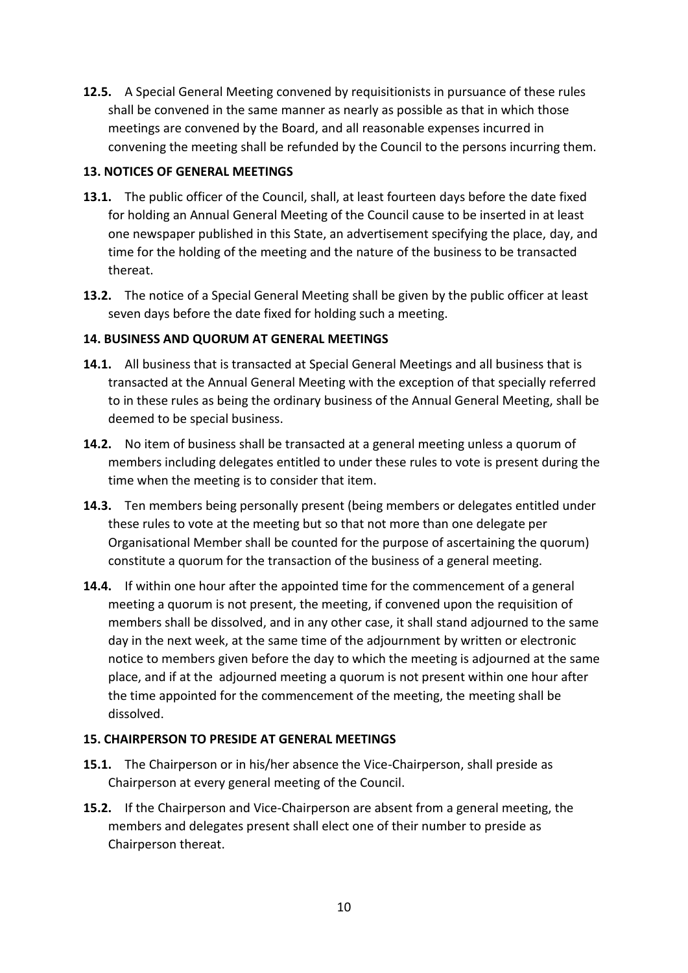**12.5.** A Special General Meeting convened by requisitionists in pursuance of these rules shall be convened in the same manner as nearly as possible as that in which those meetings are convened by the Board, and all reasonable expenses incurred in convening the meeting shall be refunded by the Council to the persons incurring them.

## <span id="page-9-0"></span>**13. NOTICES OF GENERAL MEETINGS**

- **13.1.** The public officer of the Council, shall, at least fourteen days before the date fixed for holding an Annual General Meeting of the Council cause to be inserted in at least one newspaper published in this State, an advertisement specifying the place, day, and time for the holding of the meeting and the nature of the business to be transacted thereat.
- **13.2.** The notice of a Special General Meeting shall be given by the public officer at least seven days before the date fixed for holding such a meeting.

## <span id="page-9-1"></span>**14. BUSINESS AND QUORUM AT GENERAL MEETINGS**

- **14.1.** All business that is transacted at Special General Meetings and all business that is transacted at the Annual General Meeting with the exception of that specially referred to in these rules as being the ordinary business of the Annual General Meeting, shall be deemed to be special business.
- **14.2.** No item of business shall be transacted at a general meeting unless a quorum of members including delegates entitled to under these rules to vote is present during the time when the meeting is to consider that item.
- **14.3.** Ten members being personally present (being members or delegates entitled under these rules to vote at the meeting but so that not more than one delegate per Organisational Member shall be counted for the purpose of ascertaining the quorum) constitute a quorum for the transaction of the business of a general meeting.
- **14.4.** If within one hour after the appointed time for the commencement of a general meeting a quorum is not present, the meeting, if convened upon the requisition of members shall be dissolved, and in any other case, it shall stand adjourned to the same day in the next week, at the same time of the adjournment by written or electronic notice to members given before the day to which the meeting is adjourned at the same place, and if at the adjourned meeting a quorum is not present within one hour after the time appointed for the commencement of the meeting, the meeting shall be dissolved.

## <span id="page-9-2"></span>**15. CHAIRPERSON TO PRESIDE AT GENERAL MEETINGS**

- **15.1.** The Chairperson or in his/her absence the Vice-Chairperson, shall preside as Chairperson at every general meeting of the Council.
- **15.2.** If the Chairperson and Vice-Chairperson are absent from a general meeting, the members and delegates present shall elect one of their number to preside as Chairperson thereat.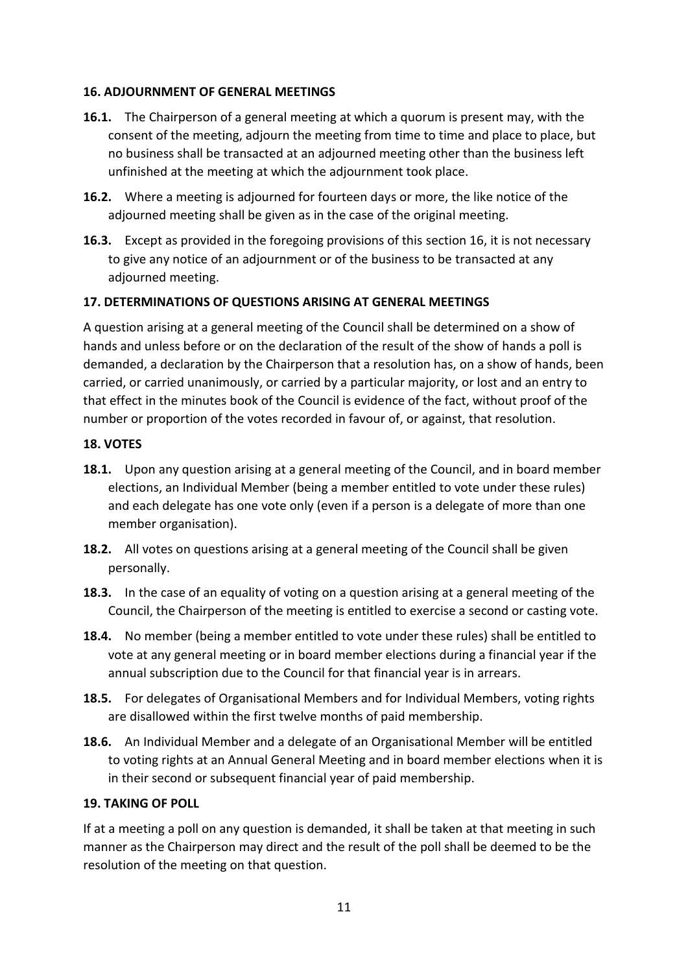## <span id="page-10-0"></span>**16. ADJOURNMENT OF GENERAL MEETINGS**

- **16.1.** The Chairperson of a general meeting at which a quorum is present may, with the consent of the meeting, adjourn the meeting from time to time and place to place, but no business shall be transacted at an adjourned meeting other than the business left unfinished at the meeting at which the adjournment took place.
- **16.2.** Where a meeting is adjourned for fourteen days or more, the like notice of the adjourned meeting shall be given as in the case of the original meeting.
- **16.3.** Except as provided in the foregoing provisions of this section 16, it is not necessary to give any notice of an adjournment or of the business to be transacted at any adjourned meeting.

## <span id="page-10-1"></span>**17. DETERMINATIONS OF QUESTIONS ARISING AT GENERAL MEETINGS**

A question arising at a general meeting of the Council shall be determined on a show of hands and unless before or on the declaration of the result of the show of hands a poll is demanded, a declaration by the Chairperson that a resolution has, on a show of hands, been carried, or carried unanimously, or carried by a particular majority, or lost and an entry to that effect in the minutes book of the Council is evidence of the fact, without proof of the number or proportion of the votes recorded in favour of, or against, that resolution.

#### <span id="page-10-2"></span>**18. VOTES**

- **18.1.** Upon any question arising at a general meeting of the Council, and in board member elections, an Individual Member (being a member entitled to vote under these rules) and each delegate has one vote only (even if a person is a delegate of more than one member organisation).
- **18.2.** All votes on questions arising at a general meeting of the Council shall be given personally.
- **18.3.** In the case of an equality of voting on a question arising at a general meeting of the Council, the Chairperson of the meeting is entitled to exercise a second or casting vote.
- **18.4.** No member (being a member entitled to vote under these rules) shall be entitled to vote at any general meeting or in board member elections during a financial year if the annual subscription due to the Council for that financial year is in arrears.
- **18.5.** For delegates of Organisational Members and for Individual Members, voting rights are disallowed within the first twelve months of paid membership.
- **18.6.** An Individual Member and a delegate of an Organisational Member will be entitled to voting rights at an Annual General Meeting and in board member elections when it is in their second or subsequent financial year of paid membership.

#### <span id="page-10-3"></span>**19. TAKING OF POLL**

If at a meeting a poll on any question is demanded, it shall be taken at that meeting in such manner as the Chairperson may direct and the result of the poll shall be deemed to be the resolution of the meeting on that question.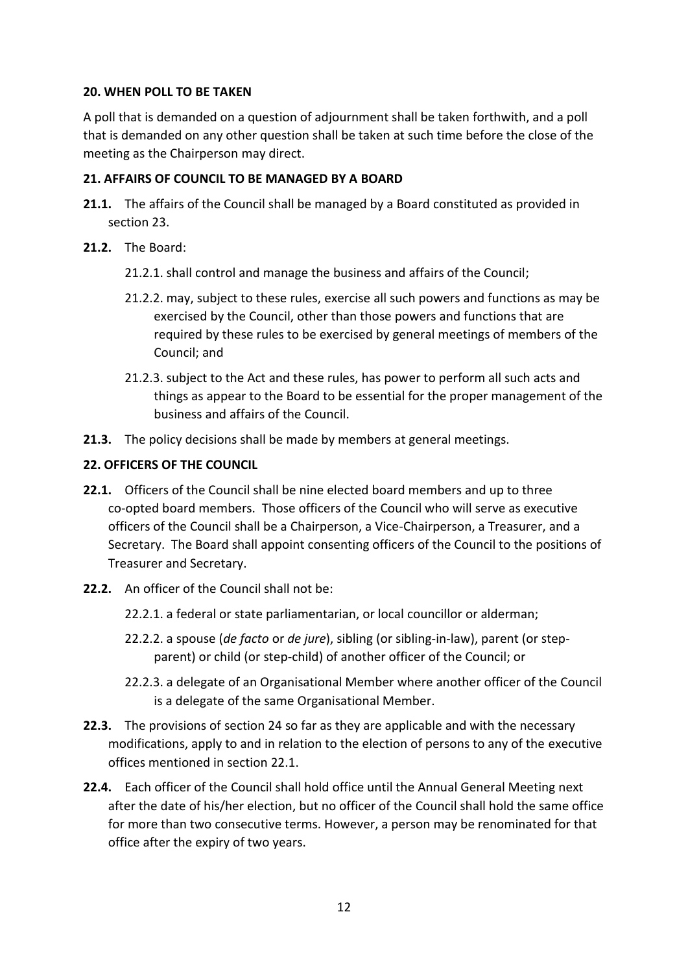## <span id="page-11-0"></span>**20. WHEN POLL TO BE TAKEN**

A poll that is demanded on a question of adjournment shall be taken forthwith, and a poll that is demanded on any other question shall be taken at such time before the close of the meeting as the Chairperson may direct.

## <span id="page-11-1"></span>**21. AFFAIRS OF COUNCIL TO BE MANAGED BY A BOARD**

- **21.1.** The affairs of the Council shall be managed by a Board constituted as provided in section 23.
- **21.2.** The Board:
	- 21.2.1. shall control and manage the business and affairs of the Council;
	- 21.2.2. may, subject to these rules, exercise all such powers and functions as may be exercised by the Council, other than those powers and functions that are required by these rules to be exercised by general meetings of members of the Council; and
	- 21.2.3. subject to the Act and these rules, has power to perform all such acts and things as appear to the Board to be essential for the proper management of the business and affairs of the Council.
- **21.3.** The policy decisions shall be made by members at general meetings.

## <span id="page-11-2"></span>**22. OFFICERS OF THE COUNCIL**

- **22.1.** Officers of the Council shall be nine elected board members and up to three co-opted board members. Those officers of the Council who will serve as executive officers of the Council shall be a Chairperson, a Vice-Chairperson, a Treasurer, and a Secretary. The Board shall appoint consenting officers of the Council to the positions of Treasurer and Secretary.
- **22.2.** An officer of the Council shall not be:
	- 22.2.1. a federal or state parliamentarian, or local councillor or alderman;
	- 22.2.2. a spouse (*de facto* or *de jure*), sibling (or sibling-in-law), parent (or stepparent) or child (or step-child) of another officer of the Council; or
	- 22.2.3. a delegate of an Organisational Member where another officer of the Council is a delegate of the same Organisational Member.
- **22.3.** The provisions of section 24 so far as they are applicable and with the necessary modifications, apply to and in relation to the election of persons to any of the executive offices mentioned in section 22.1.
- **22.4.** Each officer of the Council shall hold office until the Annual General Meeting next after the date of his/her election, but no officer of the Council shall hold the same office for more than two consecutive terms. However, a person may be renominated for that office after the expiry of two years.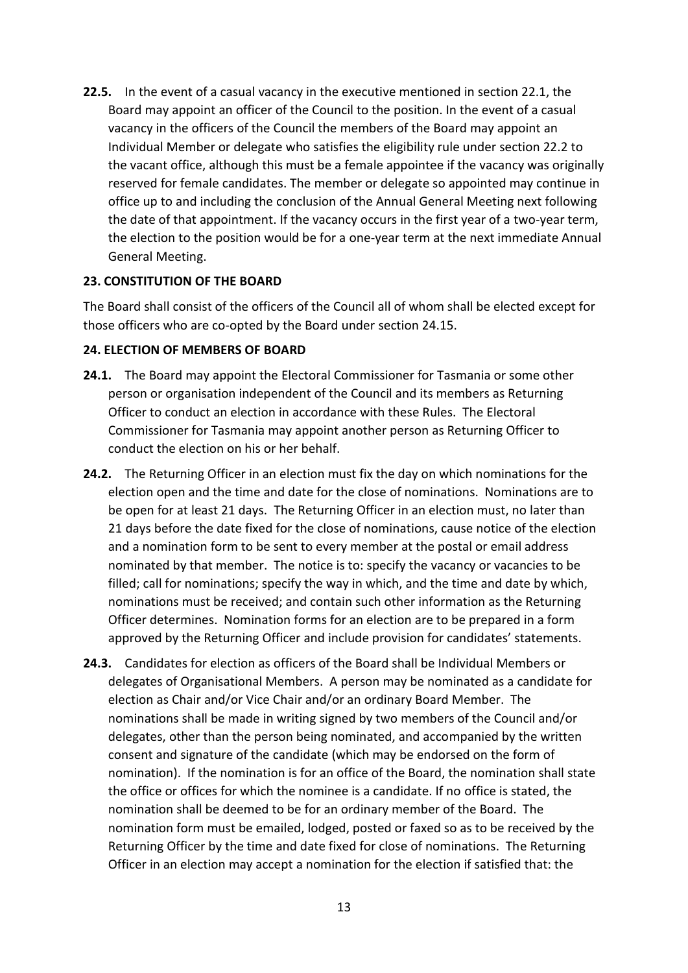**22.5.** In the event of a casual vacancy in the executive mentioned in section 22.1, the Board may appoint an officer of the Council to the position. In the event of a casual vacancy in the officers of the Council the members of the Board may appoint an Individual Member or delegate who satisfies the eligibility rule under section 22.2 to the vacant office, although this must be a female appointee if the vacancy was originally reserved for female candidates. The member or delegate so appointed may continue in office up to and including the conclusion of the Annual General Meeting next following the date of that appointment. If the vacancy occurs in the first year of a two-year term, the election to the position would be for a one-year term at the next immediate Annual General Meeting.

#### <span id="page-12-0"></span>**23. CONSTITUTION OF THE BOARD**

The Board shall consist of the officers of the Council all of whom shall be elected except for those officers who are co-opted by the Board under section 24.15.

#### <span id="page-12-1"></span>**24. ELECTION OF MEMBERS OF BOARD**

- **24.1.** The Board may appoint the Electoral Commissioner for Tasmania or some other person or organisation independent of the Council and its members as Returning Officer to conduct an election in accordance with these Rules. The Electoral Commissioner for Tasmania may appoint another person as Returning Officer to conduct the election on his or her behalf.
- **24.2.** The Returning Officer in an election must fix the day on which nominations for the election open and the time and date for the close of nominations. Nominations are to be open for at least 21 days. The Returning Officer in an election must, no later than 21 days before the date fixed for the close of nominations, cause notice of the election and a nomination form to be sent to every member at the postal or email address nominated by that member. The notice is to: specify the vacancy or vacancies to be filled; call for nominations; specify the way in which, and the time and date by which, nominations must be received; and contain such other information as the Returning Officer determines. Nomination forms for an election are to be prepared in a form approved by the Returning Officer and include provision for candidates' statements.
- **24.3.** Candidates for election as officers of the Board shall be Individual Members or delegates of Organisational Members. A person may be nominated as a candidate for election as Chair and/or Vice Chair and/or an ordinary Board Member. The nominations shall be made in writing signed by two members of the Council and/or delegates, other than the person being nominated, and accompanied by the written consent and signature of the candidate (which may be endorsed on the form of nomination). If the nomination is for an office of the Board, the nomination shall state the office or offices for which the nominee is a candidate. If no office is stated, the nomination shall be deemed to be for an ordinary member of the Board. The nomination form must be emailed, lodged, posted or faxed so as to be received by the Returning Officer by the time and date fixed for close of nominations. The Returning Officer in an election may accept a nomination for the election if satisfied that: the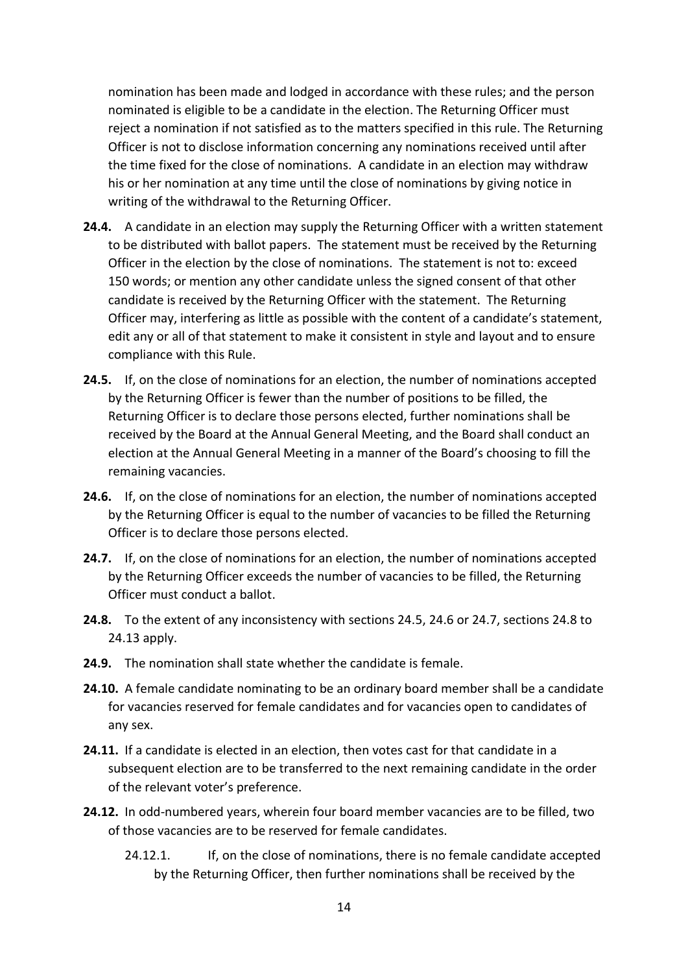nomination has been made and lodged in accordance with these rules; and the person nominated is eligible to be a candidate in the election. The Returning Officer must reject a nomination if not satisfied as to the matters specified in this rule. The Returning Officer is not to disclose information concerning any nominations received until after the time fixed for the close of nominations. A candidate in an election may withdraw his or her nomination at any time until the close of nominations by giving notice in writing of the withdrawal to the Returning Officer.

- **24.4.** A candidate in an election may supply the Returning Officer with a written statement to be distributed with ballot papers. The statement must be received by the Returning Officer in the election by the close of nominations. The statement is not to: exceed 150 words; or mention any other candidate unless the signed consent of that other candidate is received by the Returning Officer with the statement. The Returning Officer may, interfering as little as possible with the content of a candidate's statement, edit any or all of that statement to make it consistent in style and layout and to ensure compliance with this Rule.
- **24.5.** If, on the close of nominations for an election, the number of nominations accepted by the Returning Officer is fewer than the number of positions to be filled, the Returning Officer is to declare those persons elected, further nominations shall be received by the Board at the Annual General Meeting, and the Board shall conduct an election at the Annual General Meeting in a manner of the Board's choosing to fill the remaining vacancies.
- **24.6.** If, on the close of nominations for an election, the number of nominations accepted by the Returning Officer is equal to the number of vacancies to be filled the Returning Officer is to declare those persons elected.
- **24.7.** If, on the close of nominations for an election, the number of nominations accepted by the Returning Officer exceeds the number of vacancies to be filled, the Returning Officer must conduct a ballot.
- **24.8.** To the extent of any inconsistency with sections 24.5, 24.6 or 24.7, sections 24.8 to 24.13 apply.
- **24.9.** The nomination shall state whether the candidate is female.
- **24.10.** A female candidate nominating to be an ordinary board member shall be a candidate for vacancies reserved for female candidates and for vacancies open to candidates of any sex.
- **24.11.** If a candidate is elected in an election, then votes cast for that candidate in a subsequent election are to be transferred to the next remaining candidate in the order of the relevant voter's preference.
- **24.12.** In odd-numbered years, wherein four board member vacancies are to be filled, two of those vacancies are to be reserved for female candidates.
	- 24.12.1. If, on the close of nominations, there is no female candidate accepted by the Returning Officer, then further nominations shall be received by the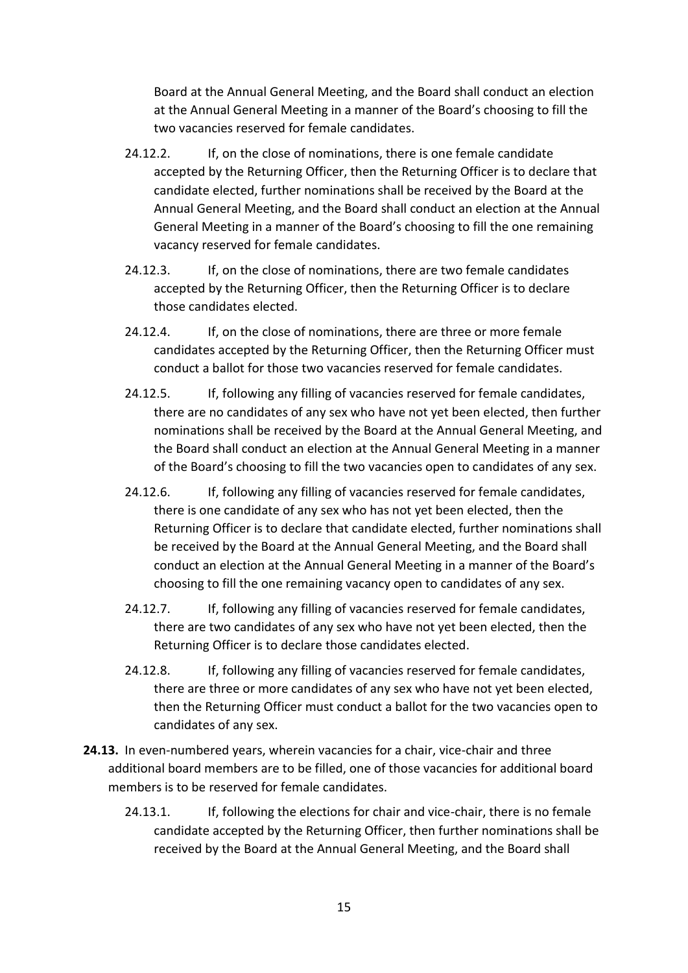Board at the Annual General Meeting, and the Board shall conduct an election at the Annual General Meeting in a manner of the Board's choosing to fill the two vacancies reserved for female candidates.

- 24.12.2. If, on the close of nominations, there is one female candidate accepted by the Returning Officer, then the Returning Officer is to declare that candidate elected, further nominations shall be received by the Board at the Annual General Meeting, and the Board shall conduct an election at the Annual General Meeting in a manner of the Board's choosing to fill the one remaining vacancy reserved for female candidates.
- 24.12.3. If, on the close of nominations, there are two female candidates accepted by the Returning Officer, then the Returning Officer is to declare those candidates elected.
- 24.12.4. If, on the close of nominations, there are three or more female candidates accepted by the Returning Officer, then the Returning Officer must conduct a ballot for those two vacancies reserved for female candidates.
- 24.12.5. If, following any filling of vacancies reserved for female candidates, there are no candidates of any sex who have not yet been elected, then further nominations shall be received by the Board at the Annual General Meeting, and the Board shall conduct an election at the Annual General Meeting in a manner of the Board's choosing to fill the two vacancies open to candidates of any sex.
- 24.12.6. If, following any filling of vacancies reserved for female candidates, there is one candidate of any sex who has not yet been elected, then the Returning Officer is to declare that candidate elected, further nominations shall be received by the Board at the Annual General Meeting, and the Board shall conduct an election at the Annual General Meeting in a manner of the Board's choosing to fill the one remaining vacancy open to candidates of any sex.
- 24.12.7. If, following any filling of vacancies reserved for female candidates, there are two candidates of any sex who have not yet been elected, then the Returning Officer is to declare those candidates elected.
- 24.12.8. If, following any filling of vacancies reserved for female candidates, there are three or more candidates of any sex who have not yet been elected, then the Returning Officer must conduct a ballot for the two vacancies open to candidates of any sex.
- **24.13.** In even-numbered years, wherein vacancies for a chair, vice-chair and three additional board members are to be filled, one of those vacancies for additional board members is to be reserved for female candidates.
	- 24.13.1. If, following the elections for chair and vice-chair, there is no female candidate accepted by the Returning Officer, then further nominations shall be received by the Board at the Annual General Meeting, and the Board shall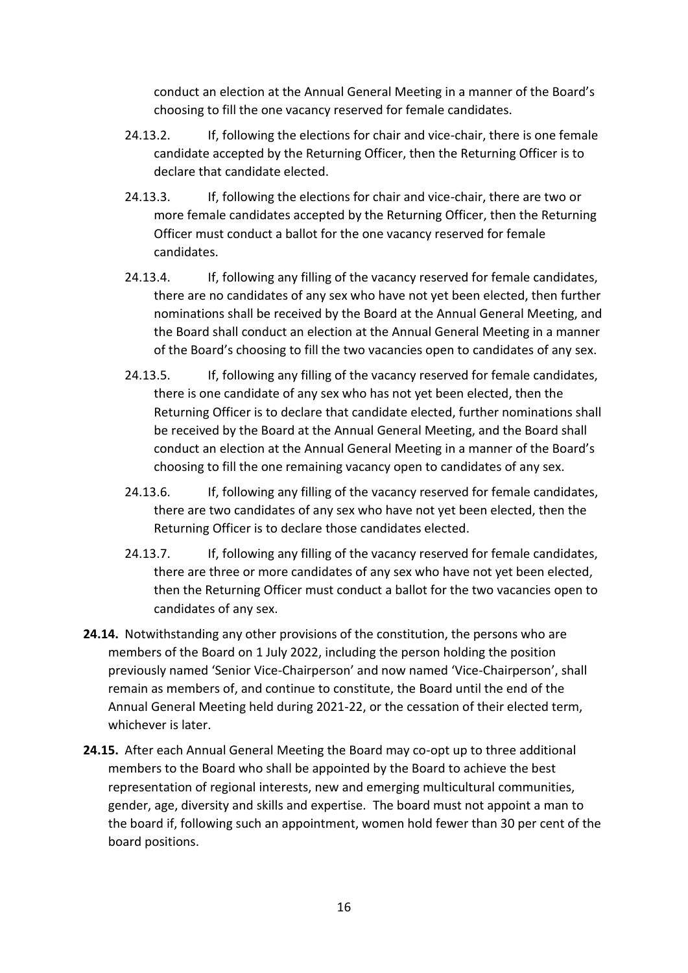conduct an election at the Annual General Meeting in a manner of the Board's choosing to fill the one vacancy reserved for female candidates.

- 24.13.2. If, following the elections for chair and vice-chair, there is one female candidate accepted by the Returning Officer, then the Returning Officer is to declare that candidate elected.
- 24.13.3. If, following the elections for chair and vice-chair, there are two or more female candidates accepted by the Returning Officer, then the Returning Officer must conduct a ballot for the one vacancy reserved for female candidates.
- 24.13.4. If, following any filling of the vacancy reserved for female candidates, there are no candidates of any sex who have not yet been elected, then further nominations shall be received by the Board at the Annual General Meeting, and the Board shall conduct an election at the Annual General Meeting in a manner of the Board's choosing to fill the two vacancies open to candidates of any sex.
- 24.13.5. If, following any filling of the vacancy reserved for female candidates, there is one candidate of any sex who has not yet been elected, then the Returning Officer is to declare that candidate elected, further nominations shall be received by the Board at the Annual General Meeting, and the Board shall conduct an election at the Annual General Meeting in a manner of the Board's choosing to fill the one remaining vacancy open to candidates of any sex.
- 24.13.6. If, following any filling of the vacancy reserved for female candidates, there are two candidates of any sex who have not yet been elected, then the Returning Officer is to declare those candidates elected.
- 24.13.7. If, following any filling of the vacancy reserved for female candidates, there are three or more candidates of any sex who have not yet been elected, then the Returning Officer must conduct a ballot for the two vacancies open to candidates of any sex.
- **24.14.** Notwithstanding any other provisions of the constitution, the persons who are members of the Board on 1 July 2022, including the person holding the position previously named 'Senior Vice-Chairperson' and now named 'Vice-Chairperson', shall remain as members of, and continue to constitute, the Board until the end of the Annual General Meeting held during 2021-22, or the cessation of their elected term, whichever is later.
- **24.15.** After each Annual General Meeting the Board may co-opt up to three additional members to the Board who shall be appointed by the Board to achieve the best representation of regional interests, new and emerging multicultural communities, gender, age, diversity and skills and expertise. The board must not appoint a man to the board if, following such an appointment, women hold fewer than 30 per cent of the board positions.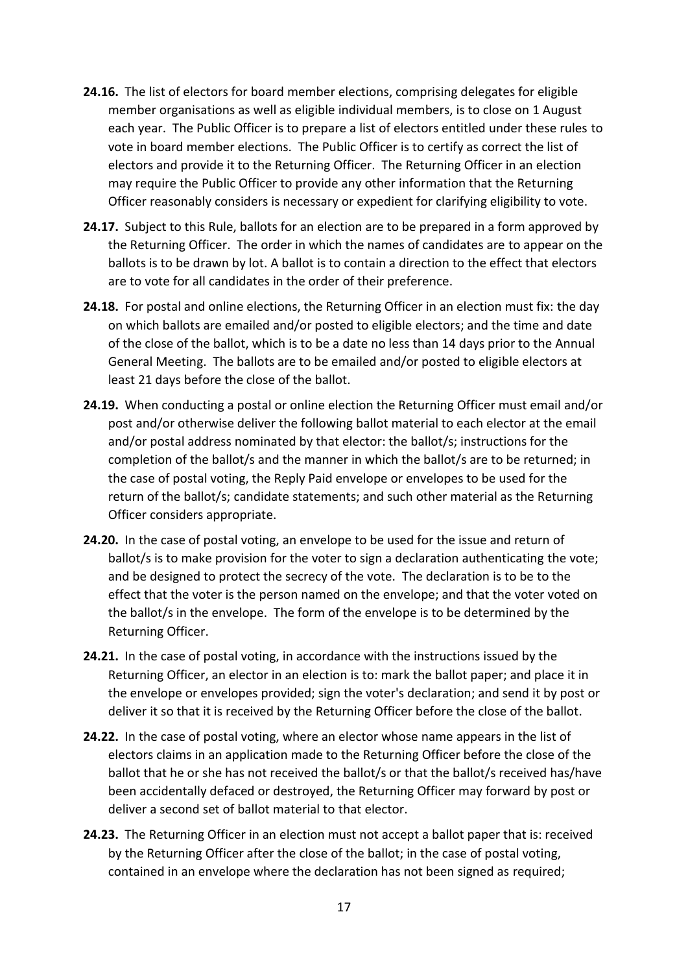- **24.16.** The list of electors for board member elections, comprising delegates for eligible member organisations as well as eligible individual members, is to close on 1 August each year. The Public Officer is to prepare a list of electors entitled under these rules to vote in board member elections. The Public Officer is to certify as correct the list of electors and provide it to the Returning Officer. The Returning Officer in an election may require the Public Officer to provide any other information that the Returning Officer reasonably considers is necessary or expedient for clarifying eligibility to vote.
- **24.17.** Subject to this Rule, ballots for an election are to be prepared in a form approved by the Returning Officer. The order in which the names of candidates are to appear on the ballots is to be drawn by lot. A ballot is to contain a direction to the effect that electors are to vote for all candidates in the order of their preference.
- **24.18.** For postal and online elections, the Returning Officer in an election must fix: the day on which ballots are emailed and/or posted to eligible electors; and the time and date of the close of the ballot, which is to be a date no less than 14 days prior to the Annual General Meeting. The ballots are to be emailed and/or posted to eligible electors at least 21 days before the close of the ballot.
- **24.19.** When conducting a postal or online election the Returning Officer must email and/or post and/or otherwise deliver the following ballot material to each elector at the email and/or postal address nominated by that elector: the ballot/s; instructions for the completion of the ballot/s and the manner in which the ballot/s are to be returned; in the case of postal voting, the Reply Paid envelope or envelopes to be used for the return of the ballot/s; candidate statements; and such other material as the Returning Officer considers appropriate.
- **24.20.** In the case of postal voting, an envelope to be used for the issue and return of ballot/s is to make provision for the voter to sign a declaration authenticating the vote; and be designed to protect the secrecy of the vote. The declaration is to be to the effect that the voter is the person named on the envelope; and that the voter voted on the ballot/s in the envelope. The form of the envelope is to be determined by the Returning Officer.
- **24.21.** In the case of postal voting, in accordance with the instructions issued by the Returning Officer, an elector in an election is to: mark the ballot paper; and place it in the envelope or envelopes provided; sign the voter's declaration; and send it by post or deliver it so that it is received by the Returning Officer before the close of the ballot.
- **24.22.** In the case of postal voting, where an elector whose name appears in the list of electors claims in an application made to the Returning Officer before the close of the ballot that he or she has not received the ballot/s or that the ballot/s received has/have been accidentally defaced or destroyed, the Returning Officer may forward by post or deliver a second set of ballot material to that elector.
- **24.23.** The Returning Officer in an election must not accept a ballot paper that is: received by the Returning Officer after the close of the ballot; in the case of postal voting, contained in an envelope where the declaration has not been signed as required;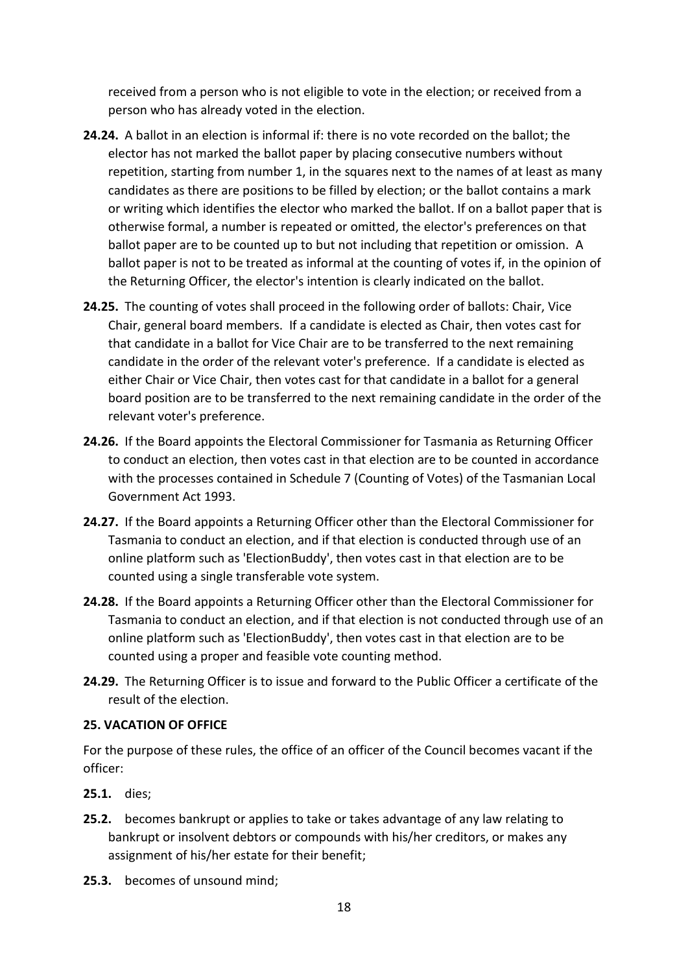received from a person who is not eligible to vote in the election; or received from a person who has already voted in the election.

- **24.24.** A ballot in an election is informal if: there is no vote recorded on the ballot; the elector has not marked the ballot paper by placing consecutive numbers without repetition, starting from number 1, in the squares next to the names of at least as many candidates as there are positions to be filled by election; or the ballot contains a mark or writing which identifies the elector who marked the ballot. If on a ballot paper that is otherwise formal, a number is repeated or omitted, the elector's preferences on that ballot paper are to be counted up to but not including that repetition or omission. A ballot paper is not to be treated as informal at the counting of votes if, in the opinion of the Returning Officer, the elector's intention is clearly indicated on the ballot.
- **24.25.** The counting of votes shall proceed in the following order of ballots: Chair, Vice Chair, general board members. If a candidate is elected as Chair, then votes cast for that candidate in a ballot for Vice Chair are to be transferred to the next remaining candidate in the order of the relevant voter's preference. If a candidate is elected as either Chair or Vice Chair, then votes cast for that candidate in a ballot for a general board position are to be transferred to the next remaining candidate in the order of the relevant voter's preference.
- **24.26.** If the Board appoints the Electoral Commissioner for Tasmania as Returning Officer to conduct an election, then votes cast in that election are to be counted in accordance with the processes contained in Schedule 7 (Counting of Votes) of the Tasmanian Local Government Act 1993.
- **24.27.** If the Board appoints a Returning Officer other than the Electoral Commissioner for Tasmania to conduct an election, and if that election is conducted through use of an online platform such as 'ElectionBuddy', then votes cast in that election are to be counted using a single transferable vote system.
- **24.28.** If the Board appoints a Returning Officer other than the Electoral Commissioner for Tasmania to conduct an election, and if that election is not conducted through use of an online platform such as 'ElectionBuddy', then votes cast in that election are to be counted using a proper and feasible vote counting method.
- **24.29.** The Returning Officer is to issue and forward to the Public Officer a certificate of the result of the election.

## <span id="page-17-0"></span>**25. VACATION OF OFFICE**

For the purpose of these rules, the office of an officer of the Council becomes vacant if the officer:

- **25.1.** dies;
- **25.2.** becomes bankrupt or applies to take or takes advantage of any law relating to bankrupt or insolvent debtors or compounds with his/her creditors, or makes any assignment of his/her estate for their benefit;
- **25.3.** becomes of unsound mind;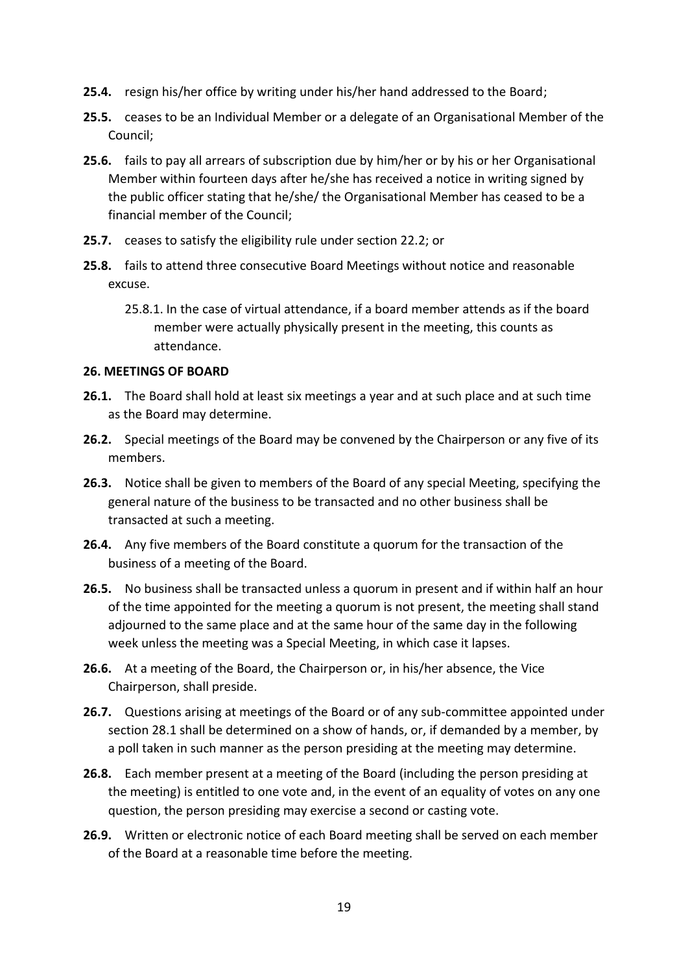- **25.4.** resign his/her office by writing under his/her hand addressed to the Board;
- **25.5.** ceases to be an Individual Member or a delegate of an Organisational Member of the Council;
- **25.6.** fails to pay all arrears of subscription due by him/her or by his or her Organisational Member within fourteen days after he/she has received a notice in writing signed by the public officer stating that he/she/ the Organisational Member has ceased to be a financial member of the Council;
- **25.7.** ceases to satisfy the eligibility rule under section 22.2; or
- **25.8.** fails to attend three consecutive Board Meetings without notice and reasonable excuse.
	- 25.8.1. In the case of virtual attendance, if a board member attends as if the board member were actually physically present in the meeting, this counts as attendance.

#### <span id="page-18-0"></span>**26. MEETINGS OF BOARD**

- **26.1.** The Board shall hold at least six meetings a year and at such place and at such time as the Board may determine.
- **26.2.** Special meetings of the Board may be convened by the Chairperson or any five of its members.
- **26.3.** Notice shall be given to members of the Board of any special Meeting, specifying the general nature of the business to be transacted and no other business shall be transacted at such a meeting.
- **26.4.** Any five members of the Board constitute a quorum for the transaction of the business of a meeting of the Board.
- **26.5.** No business shall be transacted unless a quorum in present and if within half an hour of the time appointed for the meeting a quorum is not present, the meeting shall stand adjourned to the same place and at the same hour of the same day in the following week unless the meeting was a Special Meeting, in which case it lapses.
- **26.6.** At a meeting of the Board, the Chairperson or, in his/her absence, the Vice Chairperson, shall preside.
- **26.7.** Questions arising at meetings of the Board or of any sub-committee appointed under section 28.1 shall be determined on a show of hands, or, if demanded by a member, by a poll taken in such manner as the person presiding at the meeting may determine.
- **26.8.** Each member present at a meeting of the Board (including the person presiding at the meeting) is entitled to one vote and, in the event of an equality of votes on any one question, the person presiding may exercise a second or casting vote.
- **26.9.** Written or electronic notice of each Board meeting shall be served on each member of the Board at a reasonable time before the meeting.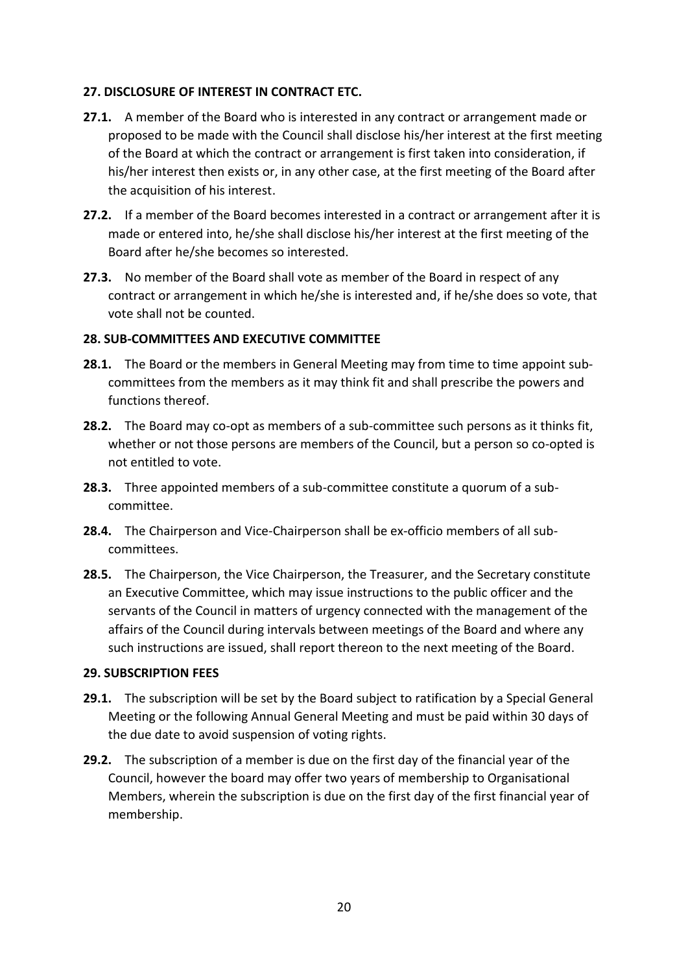## <span id="page-19-0"></span>**27. DISCLOSURE OF INTEREST IN CONTRACT ETC.**

- **27.1.** A member of the Board who is interested in any contract or arrangement made or proposed to be made with the Council shall disclose his/her interest at the first meeting of the Board at which the contract or arrangement is first taken into consideration, if his/her interest then exists or, in any other case, at the first meeting of the Board after the acquisition of his interest.
- **27.2.** If a member of the Board becomes interested in a contract or arrangement after it is made or entered into, he/she shall disclose his/her interest at the first meeting of the Board after he/she becomes so interested.
- **27.3.** No member of the Board shall vote as member of the Board in respect of any contract or arrangement in which he/she is interested and, if he/she does so vote, that vote shall not be counted.

#### <span id="page-19-1"></span>**28. SUB-COMMITTEES AND EXECUTIVE COMMITTEE**

- **28.1.** The Board or the members in General Meeting may from time to time appoint subcommittees from the members as it may think fit and shall prescribe the powers and functions thereof.
- **28.2.** The Board may co-opt as members of a sub-committee such persons as it thinks fit, whether or not those persons are members of the Council, but a person so co-opted is not entitled to vote.
- **28.3.** Three appointed members of a sub-committee constitute a quorum of a subcommittee.
- **28.4.** The Chairperson and Vice-Chairperson shall be ex-officio members of all subcommittees.
- **28.5.** The Chairperson, the Vice Chairperson, the Treasurer, and the Secretary constitute an Executive Committee, which may issue instructions to the public officer and the servants of the Council in matters of urgency connected with the management of the affairs of the Council during intervals between meetings of the Board and where any such instructions are issued, shall report thereon to the next meeting of the Board.

#### <span id="page-19-2"></span>**29. SUBSCRIPTION FEES**

- **29.1.** The subscription will be set by the Board subject to ratification by a Special General Meeting or the following Annual General Meeting and must be paid within 30 days of the due date to avoid suspension of voting rights.
- **29.2.** The subscription of a member is due on the first day of the financial year of the Council, however the board may offer two years of membership to Organisational Members, wherein the subscription is due on the first day of the first financial year of membership.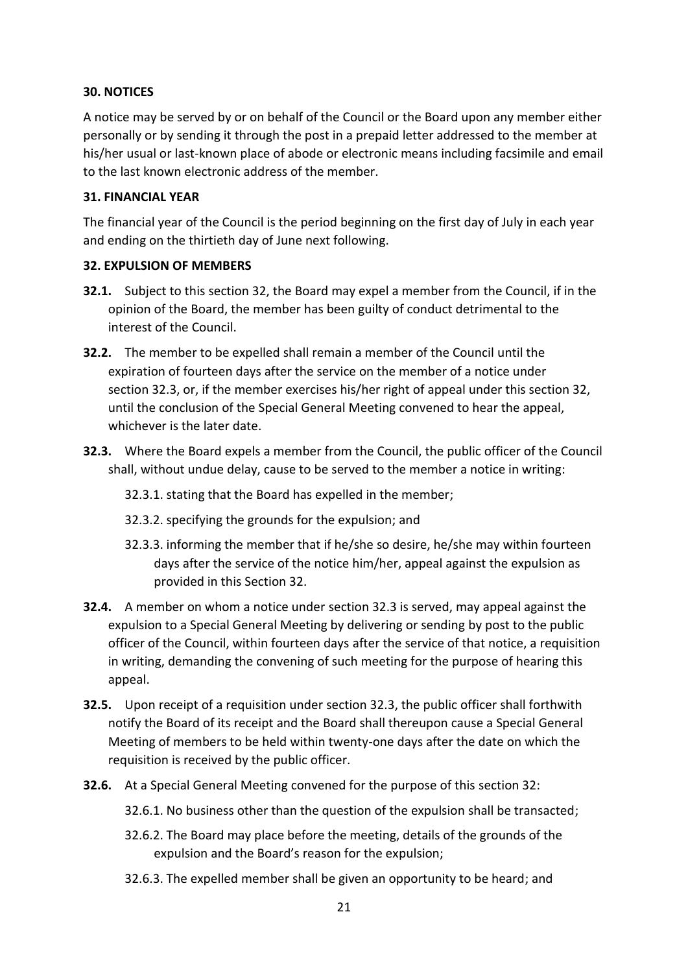## <span id="page-20-0"></span>**30. NOTICES**

A notice may be served by or on behalf of the Council or the Board upon any member either personally or by sending it through the post in a prepaid letter addressed to the member at his/her usual or last-known place of abode or electronic means including facsimile and email to the last known electronic address of the member.

#### <span id="page-20-1"></span>**31. FINANCIAL YEAR**

The financial year of the Council is the period beginning on the first day of July in each year and ending on the thirtieth day of June next following.

#### <span id="page-20-2"></span>**32. EXPULSION OF MEMBERS**

- **32.1.** Subject to this section 32, the Board may expel a member from the Council, if in the opinion of the Board, the member has been guilty of conduct detrimental to the interest of the Council.
- **32.2.** The member to be expelled shall remain a member of the Council until the expiration of fourteen days after the service on the member of a notice under section 32.3, or, if the member exercises his/her right of appeal under this section 32, until the conclusion of the Special General Meeting convened to hear the appeal, whichever is the later date.
- **32.3.** Where the Board expels a member from the Council, the public officer of the Council shall, without undue delay, cause to be served to the member a notice in writing:
	- 32.3.1. stating that the Board has expelled in the member;
	- 32.3.2. specifying the grounds for the expulsion; and
	- 32.3.3. informing the member that if he/she so desire, he/she may within fourteen days after the service of the notice him/her, appeal against the expulsion as provided in this Section 32.
- **32.4.** A member on whom a notice under section 32.3 is served, may appeal against the expulsion to a Special General Meeting by delivering or sending by post to the public officer of the Council, within fourteen days after the service of that notice, a requisition in writing, demanding the convening of such meeting for the purpose of hearing this appeal.
- **32.5.** Upon receipt of a requisition under section 32.3, the public officer shall forthwith notify the Board of its receipt and the Board shall thereupon cause a Special General Meeting of members to be held within twenty-one days after the date on which the requisition is received by the public officer.
- **32.6.** At a Special General Meeting convened for the purpose of this section 32:
	- 32.6.1. No business other than the question of the expulsion shall be transacted;
	- 32.6.2. The Board may place before the meeting, details of the grounds of the expulsion and the Board's reason for the expulsion;
	- 32.6.3. The expelled member shall be given an opportunity to be heard; and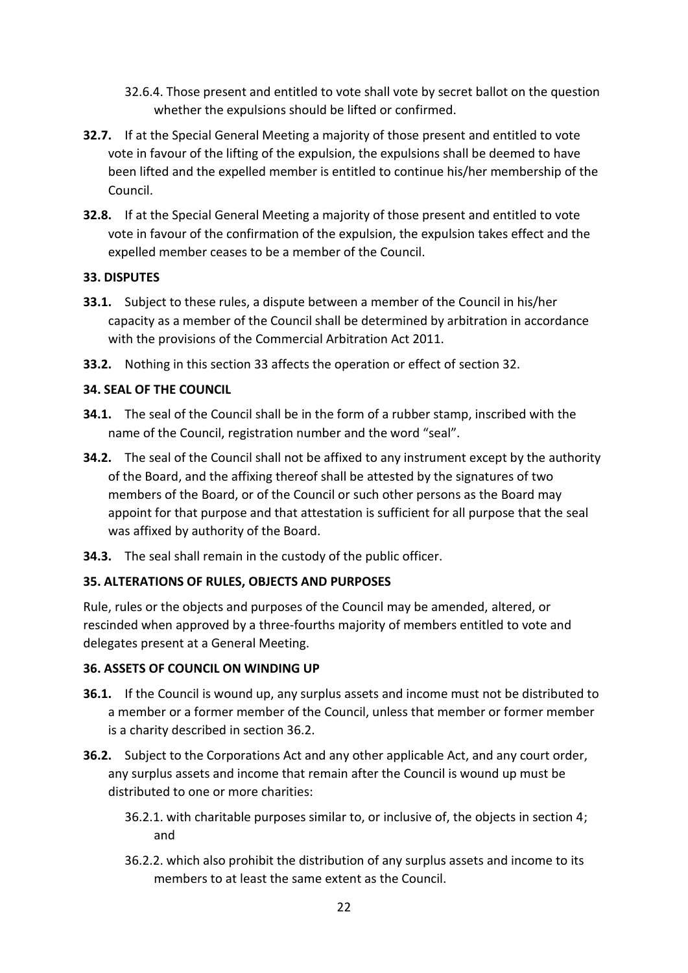- 32.6.4. Those present and entitled to vote shall vote by secret ballot on the question whether the expulsions should be lifted or confirmed.
- **32.7.** If at the Special General Meeting a majority of those present and entitled to vote vote in favour of the lifting of the expulsion, the expulsions shall be deemed to have been lifted and the expelled member is entitled to continue his/her membership of the Council.
- **32.8.** If at the Special General Meeting a majority of those present and entitled to vote vote in favour of the confirmation of the expulsion, the expulsion takes effect and the expelled member ceases to be a member of the Council.

## <span id="page-21-0"></span>**33. DISPUTES**

- **33.1.** Subject to these rules, a dispute between a member of the Council in his/her capacity as a member of the Council shall be determined by arbitration in accordance with the provisions of the Commercial Arbitration Act 2011.
- **33.2.** Nothing in this section 33 affects the operation or effect of section 32.

## <span id="page-21-1"></span>**34. SEAL OF THE COUNCIL**

- **34.1.** The seal of the Council shall be in the form of a rubber stamp, inscribed with the name of the Council, registration number and the word "seal".
- **34.2.** The seal of the Council shall not be affixed to any instrument except by the authority of the Board, and the affixing thereof shall be attested by the signatures of two members of the Board, or of the Council or such other persons as the Board may appoint for that purpose and that attestation is sufficient for all purpose that the seal was affixed by authority of the Board.
- **34.3.** The seal shall remain in the custody of the public officer.

## <span id="page-21-2"></span>**35. ALTERATIONS OF RULES, OBJECTS AND PURPOSES**

Rule, rules or the objects and purposes of the Council may be amended, altered, or rescinded when approved by a three-fourths majority of members entitled to vote and delegates present at a General Meeting.

## <span id="page-21-3"></span>**36. ASSETS OF COUNCIL ON WINDING UP**

- **36.1.** If the Council is wound up, any surplus assets and income must not be distributed to a member or a former member of the Council, unless that member or former member is a charity described in section 36.2.
- **36.2.** Subject to the Corporations Act and any other applicable Act, and any court order, any surplus assets and income that remain after the Council is wound up must be distributed to one or more charities:
	- 36.2.1. with charitable purposes similar to, or inclusive of, the objects in section 4; and
	- 36.2.2. which also prohibit the distribution of any surplus assets and income to its members to at least the same extent as the Council.